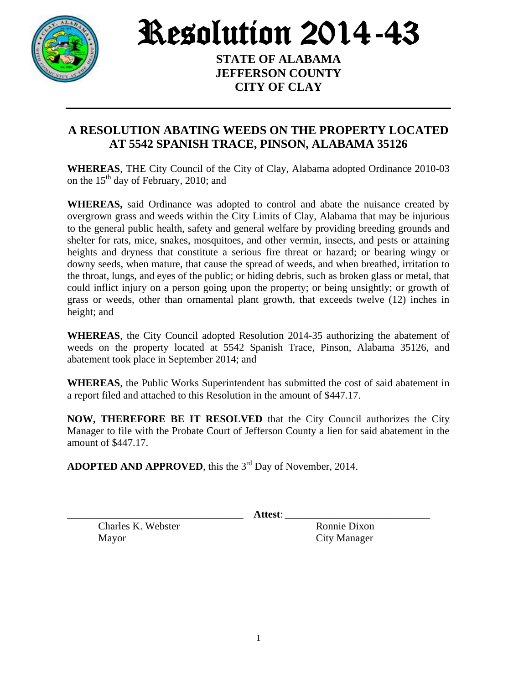

Resolution 2014-43

**STATE OF ALABAMA JEFFERSON COUNTY CITY OF CLAY**

## **A RESOLUTION ABATING WEEDS ON THE PROPERTY LOCATED AT 5542 SPANISH TRACE, PINSON, ALABAMA 35126**

**WHEREAS**, THE City Council of the City of Clay, Alabama adopted Ordinance 2010-03 on the  $15<sup>th</sup>$  day of February, 2010; and

**WHEREAS,** said Ordinance was adopted to control and abate the nuisance created by overgrown grass and weeds within the City Limits of Clay, Alabama that may be injurious to the general public health, safety and general welfare by providing breeding grounds and shelter for rats, mice, snakes, mosquitoes, and other vermin, insects, and pests or attaining heights and dryness that constitute a serious fire threat or hazard; or bearing wingy or downy seeds, when mature, that cause the spread of weeds, and when breathed, irritation to the throat, lungs, and eyes of the public; or hiding debris, such as broken glass or metal, that could inflict injury on a person going upon the property; or being unsightly; or growth of grass or weeds, other than ornamental plant growth, that exceeds twelve (12) inches in height; and

**WHEREAS**, the City Council adopted Resolution 2014-35 authorizing the abatement of weeds on the property located at 5542 Spanish Trace, Pinson, Alabama 35126, and abatement took place in September 2014; and

**WHEREAS**, the Public Works Superintendent has submitted the cost of said abatement in a report filed and attached to this Resolution in the amount of \$447.17.

**NOW, THEREFORE BE IT RESOLVED** that the City Council authorizes the City Manager to file with the Probate Court of Jefferson County a lien for said abatement in the amount of \$447.17.

ADOPTED AND APPROVED, this the 3<sup>rd</sup> Day of November, 2014.

\_\_\_\_\_\_\_\_\_\_\_\_\_\_\_\_\_\_\_\_\_\_\_\_\_\_\_\_\_\_\_\_\_\_ **Attest**: \_\_\_\_\_\_\_\_\_\_\_\_\_\_\_\_\_\_\_\_\_\_\_\_\_\_\_\_

Charles K. Webster Ronnie Dixon Mayor City Manager